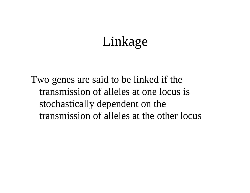## Linkage

Two genes are said to be linked if the transmission of alleles at one locus is stochastically dependent on the transmission of alleles at the other locus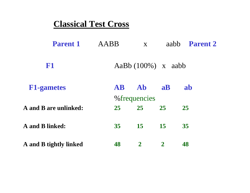#### **Classical Test Cross**

| <b>Parent 1</b>               | AABB            | $\mathbf{X}$  |                       | aabb <b>Parent 2</b> |  |
|-------------------------------|-----------------|---------------|-----------------------|----------------------|--|
| <b>F1</b>                     |                 |               | AaBb $(100\%)$ x aabb |                      |  |
| <b>F1-gametes</b>             | <b>AB</b>       | Ab            | a <b>B</b>            | ab                   |  |
|                               |                 | % frequencies |                       |                      |  |
| A and B are unlinked:         | 25              | 25            | 25                    | 25                   |  |
| <b>A</b> and <b>B</b> linked: | 35 <sub>1</sub> | 15            | 15                    | 35                   |  |
| A and B tightly linked        | 48              | $\mathbf{2}$  | $\boldsymbol{2}$      | 48                   |  |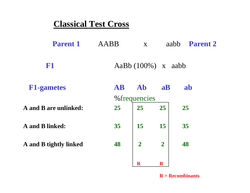#### **Classical Test Cross**

**A** 

| <b>Parent 1</b>                     | AABB            | $\mathbf{X}$          | aabb           | <b>Parent 2</b> |
|-------------------------------------|-----------------|-----------------------|----------------|-----------------|
| F <sub>1</sub>                      |                 | AaBb $(100\%)$ x aabb |                |                 |
| <b>F1-gametes</b>                   | <b>AB</b>       | Ab                    | a <b>B</b>     | ab              |
| <b>A</b> and <b>B</b> are unlinked: | 25              | % frequencies<br>25   | 25             | 25              |
| <b>A</b> and <b>B</b> linked:       | 35 <sup>5</sup> | 15                    | 15             | 35              |
| A and B tightly linked              | 48              | $\overline{2}$        | $\overline{2}$ | 48              |

#### **R = Recombinants**

**R R**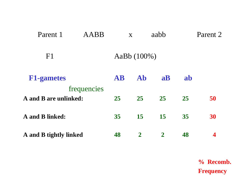| Parent 1                      | <b>AABB</b> |           | X              | aabb             |    | Parent 2 |
|-------------------------------|-------------|-----------|----------------|------------------|----|----------|
| F <sub>1</sub>                |             |           | AaBb (100%)    |                  |    |          |
| <b>F1-gametes</b>             |             | <b>AB</b> | Ab             | a <b>B</b>       | ab |          |
| A and B are unlinked:         | frequencies | 25        | 25             | 25               | 25 | 50       |
| <b>A</b> and <b>B</b> linked: |             | 35        | 15             | 15               | 35 | 30       |
| A and B tightly linked        |             | 48        | $\overline{2}$ | $\boldsymbol{2}$ | 48 | 4        |

**% Recomb. Frequency**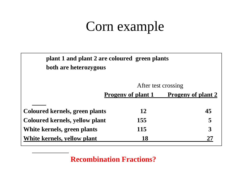# Corn example

| plant 1 and plant 2 are coloured green plants<br>both are heterozygous |                           |                           |
|------------------------------------------------------------------------|---------------------------|---------------------------|
|                                                                        |                           | After test crossing       |
|                                                                        | <b>Progeny of plant 1</b> | <b>Progeny of plant 2</b> |
| <b>Coloured kernels, green plants</b>                                  | 12                        | 45                        |
| Coloured kernels, yellow plant                                         | 155                       | 5                         |
| White kernels, green plants                                            | 115                       | 3                         |
| White kernels, yellow plant                                            | 18                        |                           |

**Recombination Fractions?**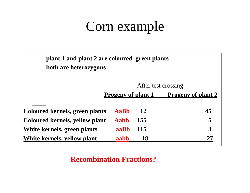# Corn example

| plant 1 and plant 2 are coloured green plants<br>both are heterozygous |                           |            |                           |
|------------------------------------------------------------------------|---------------------------|------------|---------------------------|
|                                                                        |                           |            | After test crossing       |
|                                                                        | <b>Progeny of plant 1</b> |            | <b>Progeny of plant 2</b> |
|                                                                        |                           |            |                           |
| <b>Coloured kernels, green plants</b>                                  | AaBh                      | <b>12</b>  | 45                        |
| Coloured kernels, yellow plant                                         | Aabb                      | 155        | 5                         |
| White kernels, green plants                                            | aaBh                      | <b>115</b> | 3                         |
| White kernels, yellow plant                                            | aabb                      | <b>18</b>  |                           |

**Recombination Fractions?**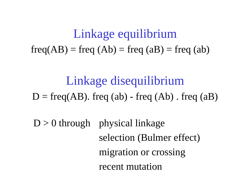## Linkage equilibrium  $freq(AB) = freq (Ab) = freq (aB) = freq (ab)$

Linkage disequilibrium  $D = freq(AB)$ . freq (ab) - freq (Ab) . freq (aB)

 $D > 0$  through physical linkage selection (Bulmer effect) migration or crossing recent mutation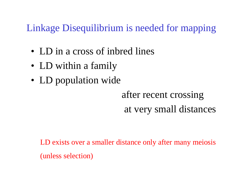#### Linkage Disequilibrium is needed for mapping

- LD in a cross of inbred lines
- LD within a family
- LD population wide

### after recent crossing at very small distances

LD exists over a smaller distance only after many meiosis (unless selection)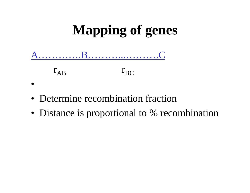

- Determine recombination fraction
- Distance is proportional to % recombination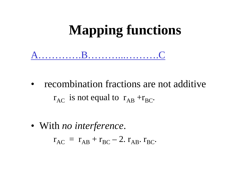# **Mapping functions**



• recombination fractions are not additive $r_{AC}$  is not equal to  $r_{AB} + r_{BC}$ .

• With *no interference*.

 $r_{AC} = r_{AB} + r_{BC} - 2. r_{AB}$ .  $r_{BC}$ .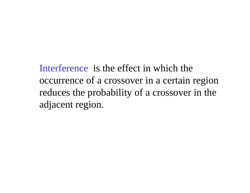Interference is the effect in which the occurrence of a crossover in a certain region reduces the probability of a crossover in the adjacent region.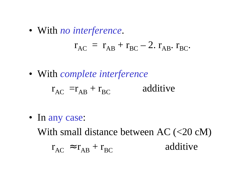• With *no interference*.

$$
\mathbf{r}_{AC} = \mathbf{r}_{AB} + \mathbf{r}_{BC} - 2. \mathbf{r}_{AB} \mathbf{r}_{BC}.
$$

• With *complete interference*

$$
r_{AC} = r_{AB} + r_{BC}
$$
 additive

• In any case:

With small distance between AC (<20 cM)

$$
r_{AC} \approx r_{AB} + r_{BC}
$$
 additive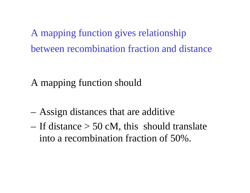A mapping function gives relationship between recombination fraction and distance

### A mapping function should

- Assign distances that are additive
- If distance  $> 50$  cM, this should translate into a recombination fraction of 50%.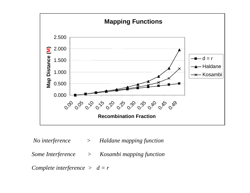

*No interference* > *Haldane mapping function*

*Some Interference > Kosambi mapping function*

*Complete interference > d = r*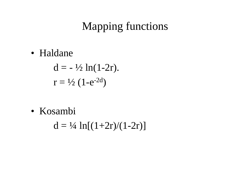### Mapping functions

• Haldane

 $d = -\frac{1}{2} \ln(1-2r)$ .  $r = \frac{1}{2} (1 - e^{-2d})$ 

• Kosambi

 $d = \frac{1}{4} \ln[(1+2r)/(1-2r)]$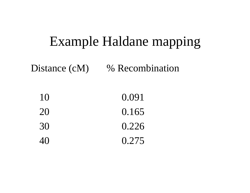### Example Haldane mapping

Distance (cM) % Recombination

| 10 | 0.091 |
|----|-------|
| 20 | 0.165 |
| 30 | 0.226 |
| 40 | 0.275 |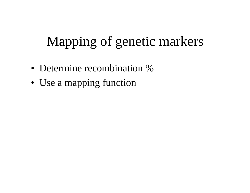# Mapping of genetic markers

- Determine recombination %
- Use a mapping function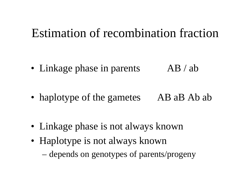### Estimation of recombination fraction

• Linkage phase in parents  $AB / ab$ 

• haplotype of the gametes AB aB Ab ab

- Linkage phase is not always known
- Haplotype is not always known
	- –depends on genotypes of parents/progeny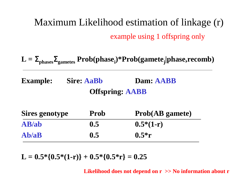### Maximum Likelihood estimation of linkage (r) example using 1 offspring only

 $L =$ <sup>Σ</sup>**phases** <sup>Σ</sup>**gametes Prob(phasei)\*Prob(gametej|phase,recomb)**

**Example:** Sire: AaBb **Dam: AABB Offspring: AABB**

| <b>Sires genotype</b> | <b>Prob</b> | <b>Prob(AB</b> gamete) |
|-----------------------|-------------|------------------------|
| AB/ab                 | 0.5         | $0.5*(1-r)$            |
| Ab/aB                 | 0.5         | $0.5*r$                |

 $L = 0.5 * \{0.5 * (1-r)\} + 0.5 * \{0.5 * r\} = 0.25$ 

**Likelihood does not depend on r >> No information about r**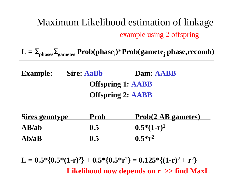#### Maximum Likelihood estimation of linkage example using 2 offspring

 $L =$ <sup>Σ</sup>**phases** <sup>Σ</sup>**gametes Prob(phasei)\*Prob(gametej|phase,recomb)**

**Example: Sire: AaBb Dam: AABB Offspring 1: AABB Offspring 2: AABB**

| <b>Sires genotype</b> | <b>Prob</b> | <b>Prob(2 AB gametes)</b> |
|-----------------------|-------------|---------------------------|
| AB/ab                 | 0.5         | $0.5*(1-r)^2$             |
| Ab/aB                 | 0.5         | $0.5*{\bf r}^2$           |

 $\mathbf{L} = 0.5^{*} \{ 0.5^{*} (1\text{-r})^{2} \} + 0.5^{*} \{ 0.5^{*} \text{r}^{2} \} = 0.125^{*} \{ (1\text{-r})^{2} + \text{r}^{2} \}$ **2 } Likelihood now depends on r >> find MaxL**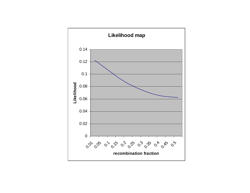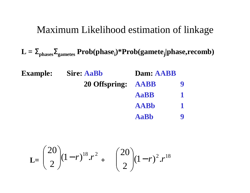#### Maximum Likelihood estimation of linkage

 $L =$ <sup>Σ</sup>**phases** <sup>Σ</sup>**gametes Prob(phasei)\*Prob(gametej|phase,recomb)**

| <b>Example:</b> | <b>Sire: AaBb</b>  | Dam: AABB   |  |
|-----------------|--------------------|-------------|--|
|                 | 20 Offspring: AABB |             |  |
|                 |                    | <b>AaBB</b> |  |
|                 |                    | <b>AABb</b> |  |
|                 |                    | <b>AaBb</b> |  |

$$
\mathbf{L} = \begin{pmatrix} 20 \\ 2 \end{pmatrix} (1-r)^{18} . r^2 + \begin{pmatrix} 20 \\ 2 \end{pmatrix} (1-r)^2 . r^{18}
$$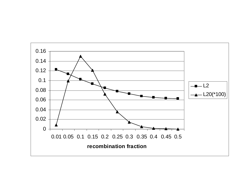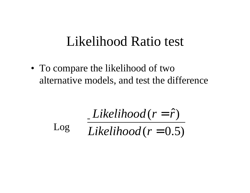### Likelihood Ratio test

• To compare the likelihood of two alternative models, and test the difference

 $Likelihood(r = \hat{r})$  $\left(\hat{r}\right)$ *Likelihood* (*r* =  $r=r$ 

 $(r = 0.5)$ = *Log Likelihood r* Log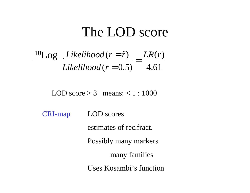### The LOD score

$$
\frac{^{10}\text{Log}}{\text{Likelihood}(r=0.5)} = \frac{\text{LR}(r)}{4.61}
$$

LOD score  $> 3$  means:  $< 1:1000$ 

CRI-map LOD scores estimates of rec.fract.Possibly many markers many families Uses Kosambi's function